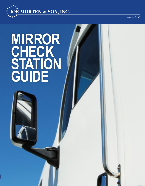

Driven to Serve ®

# **MIRROR CHECK STATION GUIDE**

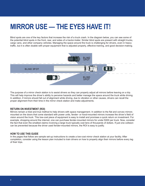# **MIRROR USE — THE EYES HAVE IT!**

Blind spots are one of the key factors that increase the risk of a truck crash. In the diagram below, you can see some of the potential blind spots in the front, rear, and sides of a tractor-trailer. Similar blind spots are present with straight trucks, cargo vans, and other company vehicles. Managing the space around the truck is challenging for drivers, even in heavy traffic, but it is often doable with proper equipment that is adjusted properly, effective training, and good decision-making.



The purpose of a mirror check station is to assist drivers so they can properly adjust all mirrors before leaving on a trip. This will help improve the driver's ability to perceive hazards and better manage the space around the truck while driving. In addition, if mirrors should fall out of alignment while driving, due to vibration or other causes, drivers can recall the proper alignment from their time in the mirror check station and make adjustments.

#### **RETURN ON INVESTMENT (ROI)**

Mirrors remain a tried and true method to help drivers with space management. In addition to the flat and convex mirrors mounted on the doors that come standard with power units, fender- or hood-mounted mirrors increase the driver's field of vision around the truck. This low-cost piece of equipment is easy to install and promises a quick return on investment. For example, shopping around the internet, one can purchase fender-mounted mirrors for under \$300 per truck. Now, consider the fact that even the smallest claims involving a large truck typically cost tens of thousands of dollars. If just one collision can be prevented because the driver used fender-mounted mirrors, the ROI is easy to justify.

#### **HOW TO USE THIS GUIDE**

In the pages that follow are sample set-up instructions to create a low-cost mirror check station at your facility. After completion, consider using the lesson plan included to train drivers on how to properly align their mirrors before every leg of their trips.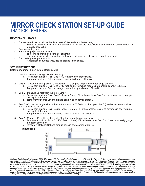### **MIRROR CHECK STATION SET-UP GUIDE TRACTOR-TRAIL FRS**

#### **REQUIRED MATERIALS**

- Flat area outdoors or indoors that is at least 30 feet wide and 80 feet long.
	- Select an area that is close to the facility's exit. Drivers are more likely to use the mirror check station if it is easily accessible.
- One measuring tape.
- For creating a permanent station:
	- The surface should be asphalt or concrete.
		- Use a paint color (white or yellow) that stands out from the color of the asphalt or concrete.
- For creating a temporary station:
	- Regardless of surface type, use 15 orange traffic cones.

#### **SETUP INSTRUCTIONS**

Refer to Diagram 1 below before starting setup.

- 1. **Line A** Measure a straight line 60 feet long.
	- a. Permanent stations: Paint Line A (60 feet long by 6 inches wide).
		- b. Temporary stations: Set one orange cone at both ends of Line A.
- 2. **Line B** Measure a straight line 10 feet long at a 90-degree angle from the top edge of Line A.
	- a. Permanent stations: Paint Line B (10 feet long by 6 inches wide). Line B should connect to Line A.
	- b. Temporary stations: Set one orange cone at the opposite end of Line B.
- 3. **Box C** Measure 35 feet from the top of Line A.
	- a. Permanent stations: Paint Box C (5 feet x 8 feet). Fill in the center of Box C so drivers can easily gauge the depth of the box.
	- b. Temporary stations: Set one orange cone in each corner of Box C.
- 4. **Box D** On the passenger side of the tractor, measure 75 feet from the top of Line B (parallel to the door mirrors) to the back of the trailer.
	- a. Permanent stations: Paint Box D (5 feet x 8 feet). Fill in the center of Box D so drivers can easily gauge the depth of the box.
	- b. Temporary stations: Set one orange cone in each corner of Box D.
- 5. **Box E** Measure 15 feet from the front of the tractor on the passenger side.
	- a. Permanent stations: Paint Box E (3 feet x 10 feet). Fill in the center of Box E so drivers can easily gauge the depth of the box.
	- b. Temporary stations: Set one orange cone in each corner of Box E.

#### **DIAGRAM 1**



*© Great West Casualty Company 2021. The material in this publication is the property of Great West Casualty Company unless otherwise noted and may not be reproduced without its written consent by any person other than a current insured of Great West Casualty Company for business purposes. Insured should attribute use as follows: "© Great West Casualty Company 2021. Used with permission by Great West Casualty Company." This material is intended to be a broad overview of the subject matter and is provided for informational purposes only. Great West Casualty Company and Joe Morten & Son, Inc. do not provide legal advice to its insureds, nor does it advise insureds on employment-related issues. Therefore, the subject matter is not intended to serve as legal or employment advice for any issue(s) that may arise in the operations of its insureds. Legal advice should always be sought*  from the insured's legal counsel. Great West Casualty Company and Joe Morten & Son, Inc. shall have no liability nor responsibility to any person or<br>entity with respect to any loss, action, or inaction alleged to be caused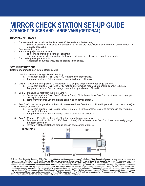# **MIRROR CHECK STATION SET-UP GUIDE STRAIGHT TRUCKS AND LARGE VANS (OPTIONAL)**

#### **REQUIRED MATERIALS**

- Flat area outdoors or indoors that is at least 30 feet wide and 70 feet long.
	- Select an area that is close to the facility's exit. Drivers are more likely to use the mirror check station if it is easily accessible.
- One measuring tape.
- For creating a permanent station:
	- The surface should be asphalt or concrete.
		- Use a paint color (white or yellow) that stands out from the color of the asphalt or concrete.
- For creating a temporary station:
	- Regardless of surface type, use 15 orange traffic cones.

#### **SETUP INSTRUCTIONS**

Refer to Diagram 2 below before starting setup.

- 1. **Line A** Measure a straight line 60 feet long.
	- a. Permanent stations: Paint Line A (60 feet long by 6 inches wide).
		- b. Temporary stations: Set one orange cone at both ends of Line A.
- 2. **Line B** Measure a straight line 10 feet long at a 90-degree angle from the top edge of Line A.
	- a. Permanent stations: Paint Line B (10 feet long by 6 inches wide). Line B should connect to Line A.
	- b. Temporary stations: Set one orange cone at the opposite end of Line B.
- 3. **Box C** Measure 30 feet from the top of Line A.
	- a. Permanent stations: Paint Box C (5 feet x 8 feet). Fill in the center of Box C so drivers can easily gauge the depth of the box.
	- b. Temporary stations: Set one orange cone in each corner of Box C.
- 4. **Box D** On the passenger side of the truck, measure 65 feet from the top of Line B (parallel to the door mirrors) to the back of the truck.
	- a. Permanent stations: Paint Box D (5 feet x 8 feet). Fill in the center of Box D so drivers can easily gauge the depth of the box.
	- b. Temporary stations: Set one orange cone in each corner of Box D.
- 5. **Box E** Measure 15 feet from the front of the tractor on the passenger side.
	- a. Permanent stations: Paint Box E (3 feet x 10 feet). Fill in the center of Box E so drivers can easily gauge the depth of the box.
	- b. Temporary stations: Set one orange cone in each corner of Box E.

#### **DIAGRAM 2**



*© Great West Casualty Company 2021. The material in this publication is the property of Great West Casualty Company unless otherwise noted and may not be reproduced without its written consent by any person other than a current insured of Great West Casualty Company for business purposes. Insured should attribute use as follows: "© Great West Casualty Company 2021. Used with permission by Great West Casualty Company." This material is intended to be a broad overview of the subject matter and is provided for informational purposes only. Great West Casualty Company and Joe Morten & Son, Inc. do not provide legal advice to its insureds, nor does it advise insureds on employment-related issues. Therefore, the subject matter is not intended to serve as legal or employment advice for any issue(s) that may arise in the operations of its insureds. Legal advice should always be sought from the insured's legal counsel. Great West Casualty Company and Joe Morten & Son, Inc. shall have no liability nor responsibility to any person or*  entity with respect to any loss, action, or inaction alleged to be caused directly or indirectly as a result of the information contained herein. Joe Morten<br>& Son, Inc. is using this material with permission by Great West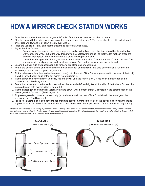# **HOW A MIRROR CHECK STATION WORKS**

- 1. Enter the mirror check station and align the left side of the truck as close as possible to Line A.
- 2. Stop the truck with the driver-side, door-mounted mirror aligned with Line B. The driver should be able to look out the driver-side window and look down directly over Line B.
- 3. Place the vehicle in 'Park,' and set the tractor and trailer parking brakes.
- 4. Adjust the driver's seat.
	- Raise or lower the seat so the driver's legs are parallel to the floor. His or her feet should be flat on the floor.
	- Lift the steering wheel out of the way, then move the seat forward or back so that the left foot can press the clutch or brake pedal to the floor without the driver coming out the seat.
	- Lower the steering wheel. Place your hands on the wheel at the nine o'clock and three o'clock positions. The elbows should be slightly bent and shoulders relaxed. For comfort, arms should not be locked.
- 5. Ensure the driver-side and passenger-side windows are clean and unobstructed.
- 6. Rotate the driver-side flat and convex mirrors horizontally (left and right) until the side of the trailer is flush on the inside edge of both mirrors. (See Diagram 3.)
- 7. Tilt the driver-side flat mirror vertically (up and down) until the front of Box C (the edge closest to the front of the truck) is visible in the bottom edge of the flat mirror. (See Diagram 3.)
- 8. Tilt the driver-side convex mirror vertically (up and down) until the rear of Box C is visible in the top edge of the convex mirror. (See Diagram 3.)
- 9. Rotate the passenger-side flat and convex mirrors horizontally (left and right) until the side of the trailer is flush on the inside edges of both mirrors. (See Diagram 3.)
- 10. Tilt the passenger-side flat mirror vertically (up and down) until the front of Box D is visible in the bottom edge of the passenger-side flat mirror. (See Diagram 3.)
- 11. Tilt passenger-side convex mirror vertically (up and down) until the rear of Box D is visible in the top edge of the convex mirror. (See Diagram 3.)
- 12. For tractor-trailers, adjust both fender/hood-mounted convex mirrors so the side of the tractor is flush with the inside edge of each mirror. The trailer's rear tandems should be visible in the upper portion of the mirror. (See Diagram 4.)

*Note: Ask for assistance, if available (i.e., mechanic or other driver). While seated in the proper position, roll down the window and give the assistant*  instructions on how to adjust the fender mirrors to your specifications. If an assistant is not available, exit the vehicle and make adjustments as needed. *Use three points of contact when entering and exiting the vehicle.* 

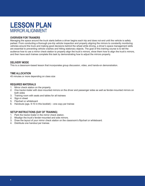# **LESSON PLAN** MIRROR ALIGNMENT

#### **OVERVIEW FOR TRAINERS**

Managing the space around the truck starts before a driver begins each trip and does not end until the vehicle is safely parked. From conducting a thorough pre-trip vehicle inspection and properly aligning the mirrors to constantly monitoring vehicles around the truck and making good decisions behind the wheel while driving, a driver's space management skills are essential to preventing vehicle crashes and hitting stationary objects. The goal of this training course is to tell the audience how to use a mirror check station to properly align the truck's mirrors, show them how to align the truck's mirrors, and then have each trainee complete this task by demonstrating how to adjust the mirrors properly.

#### **DELIVERY MODE**

This is a classroom-based lesson that incorporates group discussion, video, and hands-on demonstration.

#### **TIME ALLOCATION**

45 minutes or more depending on class size

#### **REQUIRED MATERIALS**

- 1. Mirror check station on the property
- 2. One tractor-trailer with door-mounted mirrors on the driver and passenger sides as well as fender-mounted mirrors on both sides
- 3. Training room with seats and tables for all trainees
- 4. Sign-in sheet
- 5. Flipchart or whiteboard
- 6. Handouts (pgs. 9-10 in this booklet) one copy per trainee

#### **SETUP INSTRUCTIONS (DAY OF TRAINING)**

- 1. Park the tractor-trailer in the mirror check station.
- 2. Misalign the truck's fender-mounted and side mirrors.
- 3. Draw the layout of your mirror check station on the classroom's flipchart or whiteboard.
- 4. Distribute one handout per trainee.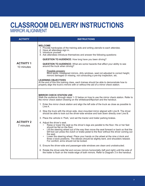# **CLASSROOM DELIVERY INSTRUCTIONS** MIRROR ALIGNMENT

| <b>ACTIVITY</b>                 | <b>INSTRUCTIONS</b>                                                                                                                                                                                                                                                                                                                                                                                                                                                                                                                                                                                                                                                                                                                                                                                                                                                                                                                                                                                                                                                                                                                                                                                                                                                                                                                                                                                                                                                               |
|---------------------------------|-----------------------------------------------------------------------------------------------------------------------------------------------------------------------------------------------------------------------------------------------------------------------------------------------------------------------------------------------------------------------------------------------------------------------------------------------------------------------------------------------------------------------------------------------------------------------------------------------------------------------------------------------------------------------------------------------------------------------------------------------------------------------------------------------------------------------------------------------------------------------------------------------------------------------------------------------------------------------------------------------------------------------------------------------------------------------------------------------------------------------------------------------------------------------------------------------------------------------------------------------------------------------------------------------------------------------------------------------------------------------------------------------------------------------------------------------------------------------------------|
| <b>ACTIVITY 1</b><br>10 minutes | <b>WELCOME</b><br>1. Provide hardcopies of the training aids and writing utensils to each attendee.<br>2. Have all attendees sign in.<br>3. Introduce yourself.<br>4. Ask attendees introduce themselves and answer the following questions:                                                                                                                                                                                                                                                                                                                                                                                                                                                                                                                                                                                                                                                                                                                                                                                                                                                                                                                                                                                                                                                                                                                                                                                                                                      |
|                                 | <b>QUESTION TO AUDIENCE:</b> How long have you been driving?                                                                                                                                                                                                                                                                                                                                                                                                                                                                                                                                                                                                                                                                                                                                                                                                                                                                                                                                                                                                                                                                                                                                                                                                                                                                                                                                                                                                                      |
|                                 | <b>QUESTION TO AUDIENCE:</b> What are some hazards that affect your ability to see<br>around the truck when driving?                                                                                                                                                                                                                                                                                                                                                                                                                                                                                                                                                                                                                                                                                                                                                                                                                                                                                                                                                                                                                                                                                                                                                                                                                                                                                                                                                              |
|                                 | Possible answers:<br>Blind spots, misaligned mirrors, dirty windows, seat not adjusted to correct height,<br>mirrors damaged or missing, not conducting a pre-trip inspection, etc.                                                                                                                                                                                                                                                                                                                                                                                                                                                                                                                                                                                                                                                                                                                                                                                                                                                                                                                                                                                                                                                                                                                                                                                                                                                                                               |
|                                 | <b>LEARNING OBJECTIVES</b><br>At the end of this this training class, each trainee should be able to demonstrate how to<br>properly align the truck's mirrors with or without the aid of a mirror check station.                                                                                                                                                                                                                                                                                                                                                                                                                                                                                                                                                                                                                                                                                                                                                                                                                                                                                                                                                                                                                                                                                                                                                                                                                                                                  |
| <b>ACTIVITY 2</b><br>7 minutes  | <b>MIRROR CHECK STATION USE</b><br>Walk the audience through steps 1-12 below on how to use the mirror check station. Refer to<br>the mirror check station drawing on the whiteboard/flipchart and the handout.<br>1. Enter the mirror check station and align the left side of the truck as close as possible to<br>Line A.<br>2. Stop the truck with the driver-side, door-mounted mirror aligned with Line B. The driver<br>should be able to look out the driver-side window and look down directly over Line B.<br>3. Place the vehicle in 'Park,' and set the tractor and trailer parking brakes.<br>4. Adjust the driver's seat.<br>Raise or lower the seat so the driver's legs are parallel to the floor. His or her feet<br>should be flat on the floor.<br>Lift the steering wheel out of the way then move the seat forward or back so that the<br>left foot can press the clutch or brake pedal to the floor without the driver coming out<br>the seat.<br>Lower the steering wheel. Place your hands on the wheel at the nine o'clock and<br>three o'clock positions. The elbows should be slightly bent, and shoulders relaxed.<br>For comfort, arms should not be locked.<br>5. Ensure the driver-side and passenger-side windows are clean and unobstructed.<br>6. Rotate the driver-side flat and convex mirrors horizontally (left and right) until the side of<br>the trailer is flush on the inside edge of both mirrors. Refer to Diagram 3 in the handout. |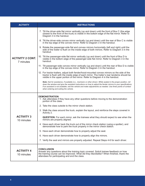| <b>ACTIVITY</b>                      | <b>INSTRUCTIONS</b>                                                                                                                                                                                                                                                                                                                                                                               |
|--------------------------------------|---------------------------------------------------------------------------------------------------------------------------------------------------------------------------------------------------------------------------------------------------------------------------------------------------------------------------------------------------------------------------------------------------|
| <b>ACTIVITY 2 CONT.</b><br>7 minutes | 7. Tilt the driver-side flat mirror vertically (up and down) until the front of Box C (the edge<br>closest to the front of the truck) is visible in the bottom edge of the flat mirror. Refer to<br>Diagram 3 in the handout.                                                                                                                                                                     |
|                                      | 8. Tilt the driver-side convex mirror vertically (up and down) until the rear of Box C is visible<br>in the top edge of the convex mirror. Refer to Diagram 3 in the handout.                                                                                                                                                                                                                     |
|                                      | 9. Rotate the passenger-side flat and convex mirrors horizontally (left and right) until the<br>side of the trailer is flush on the inside edge of both mirrors. Refer to Diagram 3 in the<br>handout.                                                                                                                                                                                            |
|                                      | 10. Tilt the passenger-side flat mirror vertically (up and down) until the front of Box D is<br>visible in the bottom edge of the passenger-side flat mirror. Refer to Diagram 3 in the<br>handout.                                                                                                                                                                                               |
|                                      | 11. Tilt passenger-side convex mirror vertically (up and down) until the rear of Box D is visible<br>in the top edge of the convex mirror. Refer to Diagram 3 in the handout.                                                                                                                                                                                                                     |
|                                      | 12. For tractor-trailers, adjust both fender/hood-mounted convex mirrors so the side of the<br>tractor is flush with the inside edge of each mirror. The trailer's rear tandems should be<br>visible in the upper portion of the mirror. Refer to Diagram 4 in the handout.                                                                                                                       |
|                                      | Note: Ask for assistance, if available (i.e., mechanic or other driver). While seated in the proper position, roll<br>down the window and give the assistant instructions on how to adjust the fender mirrors to your specifications.<br>If an assistant is not available, exit the vehicle and make adjustments as needed. Use three points of contact<br>when entering and exiting the vehicle. |
| <b>ACTIVITY 3</b><br>10 minutes      | <b>DEMONSTRATION</b><br>1. Ask attendees if they have any other questions before moving to the demonstration<br>portion of the class.                                                                                                                                                                                                                                                             |
|                                      | 2. Take the class outside to the mirror check station.                                                                                                                                                                                                                                                                                                                                            |
|                                      | 3. Walk the class around the truck, explain the layout, and reinforce the steps covered in<br>Activity 2.                                                                                                                                                                                                                                                                                         |
|                                      | <b>QUESTION:</b> For each mirror, ask the trainees what they should expect to see when the<br>mirrors are properly aligned.                                                                                                                                                                                                                                                                       |
|                                      | 4. Have each driver back the truck out of the mirror check station (using a spotter), and<br>demonstrate how to park the truck properly in the mirror check station.                                                                                                                                                                                                                              |
|                                      | 5. Have each driver demonstrate how to properly adjust the seat.                                                                                                                                                                                                                                                                                                                                  |
|                                      | 6. Have each driver demonstrate how to properly align the mirrors.                                                                                                                                                                                                                                                                                                                                |
|                                      | 7. Verify the seat and mirrors are properly adjusted. Repeat Steps 4-6 for each driver.                                                                                                                                                                                                                                                                                                           |
| <b>ACTIVITY 4</b><br>10 minutes      | <b>CONCLUSION</b><br>Answer any questions about the training topic covered. Solicit trainee feedback on how<br>the training course can be improved. What did they like/dislike? When finished, thank the<br>attendees for participating and end the class.                                                                                                                                        |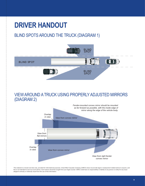# **DRIVER HANDOUT**

### BLIND SPOTS AROUND THE TRUCK (DIAGRAM 1)



### VIEW AROUND A TRUCK USING PROPERLY ADJUSTED MIRRORS (DIAGRAM 2)



*This material is a broad overview only, provided for informational purposes. Great West Casualty Company (GWCC) does not provide legal or employment-related advice to anyone, and this is not intended to serve as such advice. Such advice should be sought from your legal counsel. GWCC shall have no responsibility or liability to any person or entity for any issue alleged to directly or indirectly result from the use of this information.*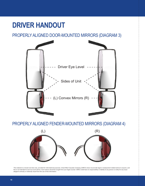# **DRIVER HANDOUT**

PROPERLY ALIGNED DOOR-MOUNTED MIRRORS (DIAGRAM 3)



PROPERLY ALIGNED FENDER-MOUNTED MIRRORS (DIAGRAM 4)



*This material is a broad overview only, provided for informational purposes. Great West Casualty Company (GWCC) does not provide legal or employment-related advice to anyone, and this is not intended to serve as such advice. Such advice should be sought from your legal counsel. GWCC shall have no responsibility or liability to any person or entity for any issue alleged to directly or indirectly result from the use of this information.*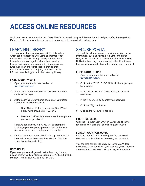# **ACCESS ONLINE RESOURCES**

Additional resources are available in Great West's Learning Library and Secure Portal to aid your safety training efforts. Please refer to the instructions below on how to access these products and services.

### LEARNING LIBRARY

The Learning Library contains over 350 safety videos, which can be accessed 24/7 using an internet-ready device, such as a PC, laptop, tablet, or smartphone. Insureds are encouraged to share their Learning Library user names and passwords with employees. Employees can only watch videos; they cannot make edits or view the company's sensitive policy information while logged in to the Learning Library.

#### **LOGIN INSTRUCTIONS**

- 1. Open your internet browser and go to *www.gwccnet.com*.
- 2. Scroll down to the "LEARNING LIBRARY" link in the center of the page.
- 3. At the Learning Library home page, enter your User Name and Password to log in.
	- **User Name** Enter your primary Great West policy number (Ex. GWP12345A).
	- Password First-time users enter the temporary password: **greatwest**.

Note: As soon as you log in, you will be prompted to change your temporary password. Make the new password easy for all employees to remember.

4. On the Classroom page, click the '+' sign to the left of the module name to expand the selection. Click the video link to start watching.

#### **NEED HELP?**

If you have problems logging in to the Learning Library, please contact Vertical Alliance Group at 877.792.3866 x300, Monday - Friday, 8:00 AM to 5:00 PM CST.

### SECURE PORTAL

The portal is where insureds can view sensitive policy information, such as claims, premiums, and driver lists, as well as additional safety products and services. Unlike the Learning Library, insureds should not share their portal login credentials with unauthorized personnel.

#### **LOGIN INSTRUCTIONS**

- 1. Open your internet browser and go to *www.gwccnet.com*.
- 2. Click on the "CLIENT LOGIN" link in the upper righthand corner.
- 3. In the "Email / User ID" field, enter your email or username.
- 4. In the "Password" field, enter your password.
- 5. Click the "Sign In" button.
- 6. Click on the "Secure Portal" link.

#### **FIRST-TIME USERS**

Click the "Request Sign On?" link. After you fill in the required fields, click the "Submit Request" button.

#### **FORGOT YOUR PASSWORD?**

Click the "Forgot?" link to the right of the password field and complete the form to reset your password.

You can also call our Help Desk at 800.552.9118 for assistance. After submitting your request, you will receive an email from Great West with your login information.